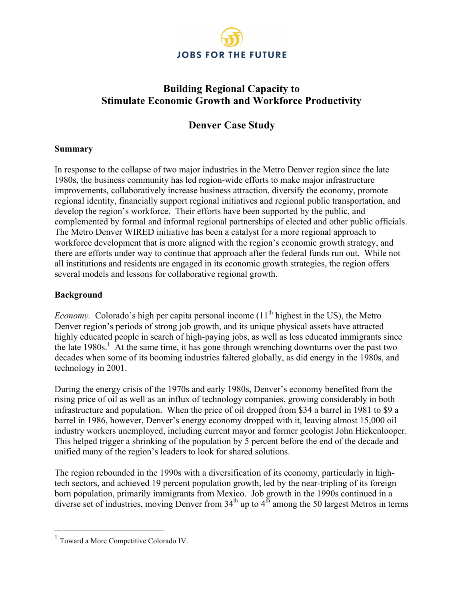

# **Building Regional Capacity to Stimulate Economic Growth and Workforce Productivity**

# **Denver Case Study**

#### **Summary**

In response to the collapse of two major industries in the Metro Denver region since the late 1980s, the business community has led region-wide efforts to make major infrastructure improvements, collaboratively increase business attraction, diversify the economy, promote regional identity, financially support regional initiatives and regional public transportation, and develop the region's workforce. Their efforts have been supported by the public, and complemented by formal and informal regional partnerships of elected and other public officials. The Metro Denver WIRED initiative has been a catalyst for a more regional approach to workforce development that is more aligned with the region's economic growth strategy, and there are efforts under way to continue that approach after the federal funds run out. While not all institutions and residents are engaged in its economic growth strategies, the region offers several models and lessons for collaborative regional growth.

### **Background**

*Economy.* Colorado's high per capita personal income  $(11<sup>th</sup>$  highest in the US), the Metro Denver region's periods of strong job growth, and its unique physical assets have attracted highly educated people in search of high-paying jobs, as well as less educated immigrants since the late 1980s.<sup>1</sup> At the same time, it has gone through wrenching downturns over the past two decades when some of its booming industries faltered globally, as did energy in the 1980s, and technology in 2001.

During the energy crisis of the 1970s and early 1980s, Denver's economy benefited from the rising price of oil as well as an influx of technology companies, growing considerably in both infrastructure and population. When the price of oil dropped from \$34 a barrel in 1981 to \$9 a barrel in 1986, however, Denver's energy economy dropped with it, leaving almost 15,000 oil industry workers unemployed, including current mayor and former geologist John Hickenlooper. This helped trigger a shrinking of the population by 5 percent before the end of the decade and unified many of the region's leaders to look for shared solutions.

The region rebounded in the 1990s with a diversification of its economy, particularly in hightech sectors, and achieved 19 percent population growth, led by the near-tripling of its foreign born population, primarily immigrants from Mexico. Job growth in the 1990s continued in a diverse set of industries, moving Denver from  $34<sup>th</sup>$  up to  $4<sup>th</sup>$  among the 50 largest Metros in terms

<sup>&</sup>lt;sup>1</sup> Toward a More Competitive Colorado IV.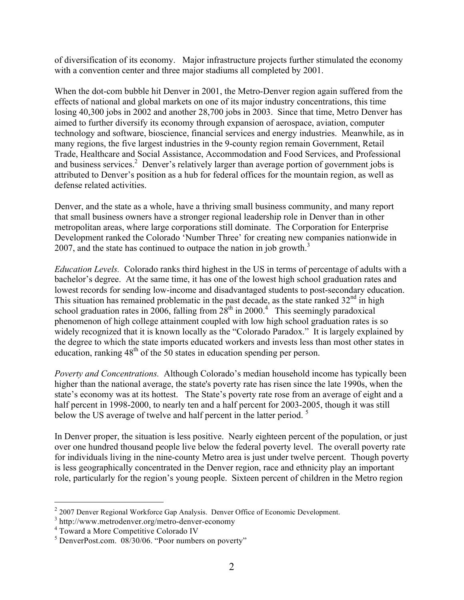of diversification of its economy. Major infrastructure projects further stimulated the economy with a convention center and three major stadiums all completed by 2001.

When the dot-com bubble hit Denver in 2001, the Metro-Denver region again suffered from the effects of national and global markets on one of its major industry concentrations, this time losing 40,300 jobs in 2002 and another 28,700 jobs in 2003. Since that time, Metro Denver has aimed to further diversify its economy through expansion of aerospace, aviation, computer technology and software, bioscience, financial services and energy industries. Meanwhile, as in many regions, the five largest industries in the 9-county region remain Government, Retail Trade, Healthcare and Social Assistance, Accommodation and Food Services, and Professional and business services.<sup>2</sup> Denver's relatively larger than average portion of government jobs is attributed to Denver's position as a hub for federal offices for the mountain region, as well as defense related activities.

Denver, and the state as a whole, have a thriving small business community, and many report that small business owners have a stronger regional leadership role in Denver than in other metropolitan areas, where large corporations still dominate. The Corporation for Enterprise Development ranked the Colorado 'Number Three' for creating new companies nationwide in 2007, and the state has continued to outpace the nation in job growth.<sup>3</sup>

*Education Levels.* Colorado ranks third highest in the US in terms of percentage of adults with a bachelor's degree. At the same time, it has one of the lowest high school graduation rates and lowest records for sending low-income and disadvantaged students to post-secondary education. This situation has remained problematic in the past decade, as the state ranked  $32<sup>nd</sup>$  in high school graduation rates in 2006, falling from  $28<sup>th</sup>$  in 2000.<sup>4</sup> This seemingly paradoxical phenomenon of high college attainment coupled with low high school graduation rates is so widely recognized that it is known locally as the "Colorado Paradox." It is largely explained by the degree to which the state imports educated workers and invests less than most other states in education, ranking  $48<sup>th</sup>$  of the 50 states in education spending per person.

*Poverty and Concentrations.* Although Colorado's median household income has typically been higher than the national average, the state's poverty rate has risen since the late 1990s, when the state's economy was at its hottest. The State's poverty rate rose from an average of eight and a half percent in 1998-2000, to nearly ten and a half percent for 2003-2005, though it was still below the US average of twelve and half percent in the latter period.<sup>5</sup>

In Denver proper, the situation is less positive. Nearly eighteen percent of the population, or just over one hundred thousand people live below the federal poverty level. The overall poverty rate for individuals living in the nine-county Metro area is just under twelve percent. Though poverty is less geographically concentrated in the Denver region, race and ethnicity play an important role, particularly for the region's young people. Sixteen percent of children in the Metro region

 $2$  2007 Denver Regional Workforce Gap Analysis. Denver Office of Economic Development.

<sup>3</sup> http://www.metrodenver.org/metro-denver-economy

<sup>4</sup> Toward a More Competitive Colorado IV

 $<sup>5</sup>$  DenverPost.com. 08/30/06. "Poor numbers on poverty"</sup>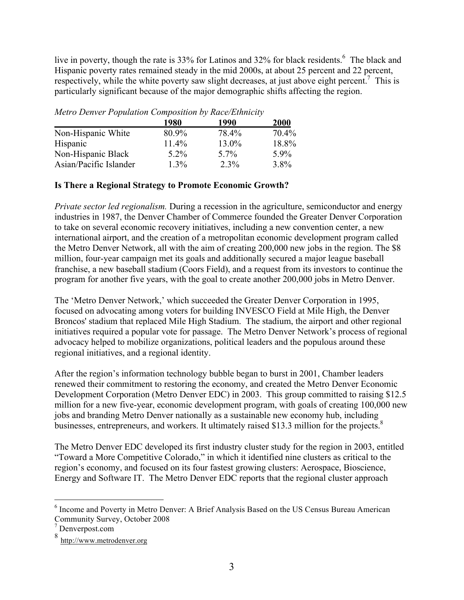live in poverty, though the rate is 33% for Latinos and 32% for black residents.<sup>6</sup> The black and Hispanic poverty rates remained steady in the mid 2000s, at about 25 percent and 22 percent, respectively, while the white poverty saw slight decreases, at just above eight percent.<sup>7</sup> This is particularly significant because of the major demographic shifts affecting the region.

|                        | 1980    | 1990  | 2000    |
|------------------------|---------|-------|---------|
| Non-Hispanic White     | 80.9%   | 78.4% | 70.4%   |
| Hispanic               | 11.4%   | 13.0% | 18.8%   |
| Non-Hispanic Black     | $5.2\%$ | 5.7%  | 59%     |
| Asian/Pacific Islander | $1.3\%$ | 2.3%  | $3.8\%$ |

*Metro Denver Population Composition by Race/Ethnicity*

## **Is There a Regional Strategy to Promote Economic Growth?**

*Private sector led regionalism.* During a recession in the agriculture, semiconductor and energy industries in 1987, the Denver Chamber of Commerce founded the Greater Denver Corporation to take on several economic recovery initiatives, including a new convention center, a new international airport, and the creation of a metropolitan economic development program called the Metro Denver Network, all with the aim of creating 200,000 new jobs in the region. The \$8 million, four-year campaign met its goals and additionally secured a major league baseball franchise, a new baseball stadium (Coors Field), and a request from its investors to continue the program for another five years, with the goal to create another 200,000 jobs in Metro Denver.

The 'Metro Denver Network,' which succeeded the Greater Denver Corporation in 1995, focused on advocating among voters for building INVESCO Field at Mile High, the Denver Broncos' stadium that replaced Mile High Stadium. The stadium, the airport and other regional initiatives required a popular vote for passage. The Metro Denver Network's process of regional advocacy helped to mobilize organizations, political leaders and the populous around these regional initiatives, and a regional identity.

After the region's information technology bubble began to burst in 2001, Chamber leaders renewed their commitment to restoring the economy, and created the Metro Denver Economic Development Corporation (Metro Denver EDC) in 2003. This group committed to raising \$12.5 million for a new five-year, economic development program, with goals of creating 100,000 new jobs and branding Metro Denver nationally as a sustainable new economy hub, including businesses, entrepreneurs, and workers. It ultimately raised \$13.3 million for the projects.<sup>8</sup>

The Metro Denver EDC developed its first industry cluster study for the region in 2003, entitled "Toward a More Competitive Colorado," in which it identified nine clusters as critical to the region's economy, and focused on its four fastest growing clusters: Aerospace, Bioscience, Energy and Software IT. The Metro Denver EDC reports that the regional cluster approach

 $\frac{1}{6}$  $<sup>6</sup>$  Income and Poverty in Metro Denver: A Brief Analysis Based on the US Census Bureau American</sup> Community Survey, October 2008

<sup>7</sup> Denverpost.com

<sup>8</sup> http://www.metrodenver.org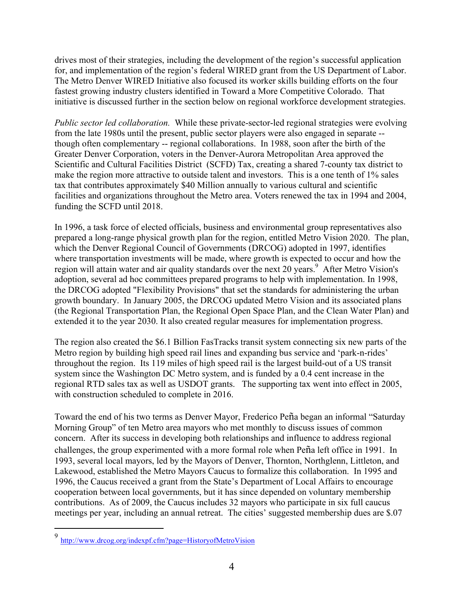drives most of their strategies, including the development of the region's successful application for, and implementation of the region's federal WIRED grant from the US Department of Labor. The Metro Denver WIRED Initiative also focused its worker skills building efforts on the four fastest growing industry clusters identified in Toward a More Competitive Colorado. That initiative is discussed further in the section below on regional workforce development strategies.

*Public sector led collaboration.* While these private-sector-led regional strategies were evolving from the late 1980s until the present, public sector players were also engaged in separate - though often complementary -- regional collaborations. In 1988, soon after the birth of the Greater Denver Corporation, voters in the Denver-Aurora Metropolitan Area approved the Scientific and Cultural Facilities District (SCFD) Tax, creating a shared 7-county tax district to make the region more attractive to outside talent and investors. This is a one tenth of 1% sales tax that contributes approximately \$40 Million annually to various cultural and scientific facilities and organizations throughout the Metro area. Voters renewed the tax in 1994 and 2004, funding the SCFD until 2018.

In 1996, a task force of elected officials, business and environmental group representatives also prepared a long-range physical growth plan for the region, entitled Metro Vision 2020. The plan, which the Denver Regional Council of Governments (DRCOG) adopted in 1997, identifies where transportation investments will be made, where growth is expected to occur and how the region will attain water and air quality standards over the next 20 years.<sup>9</sup> After Metro Vision's adoption, several ad hoc committees prepared programs to help with implementation. In 1998, the DRCOG adopted "Flexibility Provisions" that set the standards for administering the urban growth boundary. In January 2005, the DRCOG updated Metro Vision and its associated plans (the Regional Transportation Plan, the Regional Open Space Plan, and the Clean Water Plan) and extended it to the year 2030. It also created regular measures for implementation progress.

The region also created the \$6.1 Billion FasTracks transit system connecting six new parts of the Metro region by building high speed rail lines and expanding bus service and 'park-n-rides' throughout the region. Its 119 miles of high speed rail is the largest build-out of a US transit system since the Washington DC Metro system, and is funded by a 0.4 cent increase in the regional RTD sales tax as well as USDOT grants. The supporting tax went into effect in 2005, with construction scheduled to complete in 2016.

Toward the end of his two terms as Denver Mayor, Frederico Peña began an informal "Saturday Morning Group" of ten Metro area mayors who met monthly to discuss issues of common concern. After its success in developing both relationships and influence to address regional challenges, the group experimented with a more formal role when Peña left office in 1991. In 1993, several local mayors, led by the Mayors of Denver, Thornton, Northglenn, Littleton, and Lakewood, established the Metro Mayors Caucus to formalize this collaboration. In 1995 and 1996, the Caucus received a grant from the State's Department of Local Affairs to encourage cooperation between local governments, but it has since depended on voluntary membership contributions. As of 2009, the Caucus includes 32 mayors who participate in six full caucus meetings per year, including an annual retreat. The cities' suggested membership dues are \$.07

 <sup>9</sup> http://www.drcog.org/indexpf.cfm?page=HistoryofMetroVision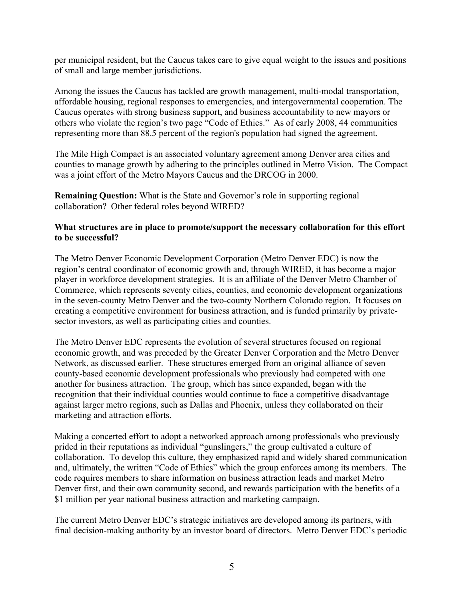per municipal resident, but the Caucus takes care to give equal weight to the issues and positions of small and large member jurisdictions.

Among the issues the Caucus has tackled are growth management, multi-modal transportation, affordable housing, regional responses to emergencies, and intergovernmental cooperation. The Caucus operates with strong business support, and business accountability to new mayors or others who violate the region's two page "Code of Ethics." As of early 2008, 44 communities representing more than 88.5 percent of the region's population had signed the agreement.

The Mile High Compact is an associated voluntary agreement among Denver area cities and counties to manage growth by adhering to the principles outlined in Metro Vision. The Compact was a joint effort of the Metro Mayors Caucus and the DRCOG in 2000.

**Remaining Question:** What is the State and Governor's role in supporting regional collaboration? Other federal roles beyond WIRED?

### **What structures are in place to promote/support the necessary collaboration for this effort to be successful?**

The Metro Denver Economic Development Corporation (Metro Denver EDC) is now the region's central coordinator of economic growth and, through WIRED, it has become a major player in workforce development strategies. It is an affiliate of the Denver Metro Chamber of Commerce, which represents seventy cities, counties, and economic development organizations in the seven-county Metro Denver and the two-county Northern Colorado region. It focuses on creating a competitive environment for business attraction, and is funded primarily by privatesector investors, as well as participating cities and counties.

The Metro Denver EDC represents the evolution of several structures focused on regional economic growth, and was preceded by the Greater Denver Corporation and the Metro Denver Network, as discussed earlier. These structures emerged from an original alliance of seven county-based economic development professionals who previously had competed with one another for business attraction. The group, which has since expanded, began with the recognition that their individual counties would continue to face a competitive disadvantage against larger metro regions, such as Dallas and Phoenix, unless they collaborated on their marketing and attraction efforts.

Making a concerted effort to adopt a networked approach among professionals who previously prided in their reputations as individual "gunslingers," the group cultivated a culture of collaboration. To develop this culture, they emphasized rapid and widely shared communication and, ultimately, the written "Code of Ethics" which the group enforces among its members. The code requires members to share information on business attraction leads and market Metro Denver first, and their own community second, and rewards participation with the benefits of a \$1 million per year national business attraction and marketing campaign.

The current Metro Denver EDC's strategic initiatives are developed among its partners, with final decision-making authority by an investor board of directors. Metro Denver EDC's periodic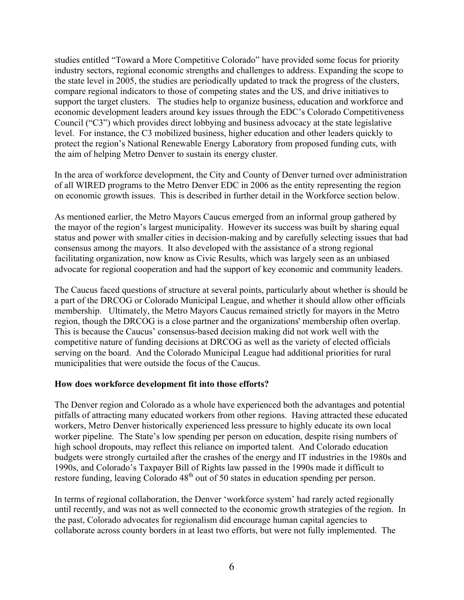studies entitled "Toward a More Competitive Colorado" have provided some focus for priority industry sectors, regional economic strengths and challenges to address. Expanding the scope to the state level in 2005, the studies are periodically updated to track the progress of the clusters, compare regional indicators to those of competing states and the US, and drive initiatives to support the target clusters. The studies help to organize business, education and workforce and economic development leaders around key issues through the EDC's Colorado Competitiveness Council ("C3") which provides direct lobbying and business advocacy at the state legislative level. For instance, the C3 mobilized business, higher education and other leaders quickly to protect the region's National Renewable Energy Laboratory from proposed funding cuts, with the aim of helping Metro Denver to sustain its energy cluster.

In the area of workforce development, the City and County of Denver turned over administration of all WIRED programs to the Metro Denver EDC in 2006 as the entity representing the region on economic growth issues. This is described in further detail in the Workforce section below.

As mentioned earlier, the Metro Mayors Caucus emerged from an informal group gathered by the mayor of the region's largest municipality. However its success was built by sharing equal status and power with smaller cities in decision-making and by carefully selecting issues that had consensus among the mayors. It also developed with the assistance of a strong regional facilitating organization, now know as Civic Results, which was largely seen as an unbiased advocate for regional cooperation and had the support of key economic and community leaders.

The Caucus faced questions of structure at several points, particularly about whether is should be a part of the DRCOG or Colorado Municipal League, and whether it should allow other officials membership. Ultimately, the Metro Mayors Caucus remained strictly for mayors in the Metro region, though the DRCOG is a close partner and the organizations' membership often overlap. This is because the Caucus' consensus-based decision making did not work well with the competitive nature of funding decisions at DRCOG as well as the variety of elected officials serving on the board. And the Colorado Municipal League had additional priorities for rural municipalities that were outside the focus of the Caucus.

#### **How does workforce development fit into those efforts?**

The Denver region and Colorado as a whole have experienced both the advantages and potential pitfalls of attracting many educated workers from other regions. Having attracted these educated workers, Metro Denver historically experienced less pressure to highly educate its own local worker pipeline. The State's low spending per person on education, despite rising numbers of high school dropouts, may reflect this reliance on imported talent. And Colorado education budgets were strongly curtailed after the crashes of the energy and IT industries in the 1980s and 1990s, and Colorado's Taxpayer Bill of Rights law passed in the 1990s made it difficult to restore funding, leaving Colorado 48<sup>th</sup> out of 50 states in education spending per person.

In terms of regional collaboration, the Denver 'workforce system' had rarely acted regionally until recently, and was not as well connected to the economic growth strategies of the region. In the past, Colorado advocates for regionalism did encourage human capital agencies to collaborate across county borders in at least two efforts, but were not fully implemented. The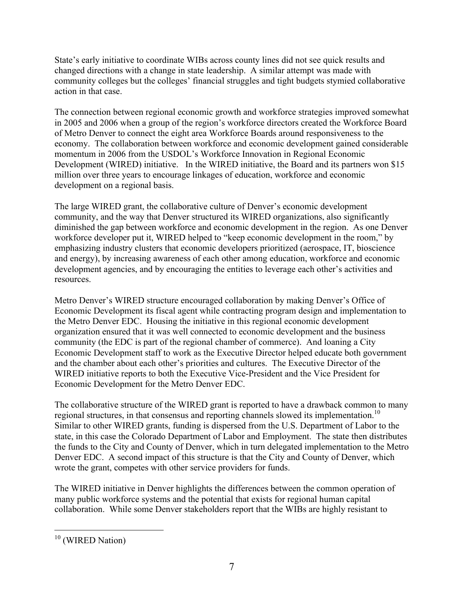State's early initiative to coordinate WIBs across county lines did not see quick results and changed directions with a change in state leadership. A similar attempt was made with community colleges but the colleges' financial struggles and tight budgets stymied collaborative action in that case.

The connection between regional economic growth and workforce strategies improved somewhat in 2005 and 2006 when a group of the region's workforce directors created the Workforce Board of Metro Denver to connect the eight area Workforce Boards around responsiveness to the economy. The collaboration between workforce and economic development gained considerable momentum in 2006 from the USDOL's Workforce Innovation in Regional Economic Development (WIRED) initiative. In the WIRED initiative, the Board and its partners won \$15 million over three years to encourage linkages of education, workforce and economic development on a regional basis.

The large WIRED grant, the collaborative culture of Denver's economic development community, and the way that Denver structured its WIRED organizations, also significantly diminished the gap between workforce and economic development in the region. As one Denver workforce developer put it, WIRED helped to "keep economic development in the room," by emphasizing industry clusters that economic developers prioritized (aerospace, IT, bioscience and energy), by increasing awareness of each other among education, workforce and economic development agencies, and by encouraging the entities to leverage each other's activities and resources.

Metro Denver's WIRED structure encouraged collaboration by making Denver's Office of Economic Development its fiscal agent while contracting program design and implementation to the Metro Denver EDC. Housing the initiative in this regional economic development organization ensured that it was well connected to economic development and the business community (the EDC is part of the regional chamber of commerce). And loaning a City Economic Development staff to work as the Executive Director helped educate both government and the chamber about each other's priorities and cultures. The Executive Director of the WIRED initiative reports to both the Executive Vice-President and the Vice President for Economic Development for the Metro Denver EDC.

The collaborative structure of the WIRED grant is reported to have a drawback common to many regional structures, in that consensus and reporting channels slowed its implementation.<sup>10</sup> Similar to other WIRED grants, funding is dispersed from the U.S. Department of Labor to the state, in this case the Colorado Department of Labor and Employment. The state then distributes the funds to the City and County of Denver, which in turn delegated implementation to the Metro Denver EDC. A second impact of this structure is that the City and County of Denver, which wrote the grant, competes with other service providers for funds.

The WIRED initiative in Denver highlights the differences between the common operation of many public workforce systems and the potential that exists for regional human capital collaboration. While some Denver stakeholders report that the WIBs are highly resistant to

<sup>&</sup>lt;sup>10</sup> (WIRED Nation)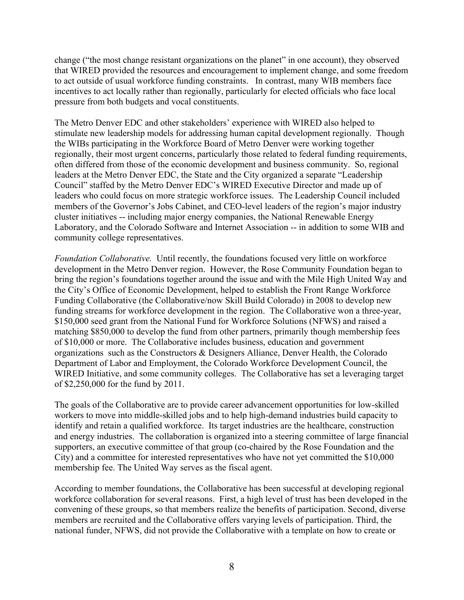change ("the most change resistant organizations on the planet" in one account), they observed that WIRED provided the resources and encouragement to implement change, and some freedom to act outside of usual workforce funding constraints. In contrast, many WIB members face incentives to act locally rather than regionally, particularly for elected officials who face local pressure from both budgets and vocal constituents.

The Metro Denver EDC and other stakeholders' experience with WIRED also helped to stimulate new leadership models for addressing human capital development regionally. Though the WIBs participating in the Workforce Board of Metro Denver were working together regionally, their most urgent concerns, particularly those related to federal funding requirements, often differed from those of the economic development and business community. So, regional leaders at the Metro Denver EDC, the State and the City organized a separate "Leadership Council" staffed by the Metro Denver EDC's WIRED Executive Director and made up of leaders who could focus on more strategic workforce issues. The Leadership Council included members of the Governor's Jobs Cabinet, and CEO-level leaders of the region's major industry cluster initiatives -- including major energy companies, the National Renewable Energy Laboratory, and the Colorado Software and Internet Association -- in addition to some WIB and community college representatives.

*Foundation Collaborative.* Until recently, the foundations focused very little on workforce development in the Metro Denver region. However, the Rose Community Foundation began to bring the region's foundations together around the issue and with the Mile High United Way and the City's Office of Economic Development, helped to establish the Front Range Workforce Funding Collaborative (the Collaborative/now Skill Build Colorado) in 2008 to develop new funding streams for workforce development in the region. The Collaborative won a three-year, \$150,000 seed grant from the National Fund for Workforce Solutions (NFWS) and raised a matching \$850,000 to develop the fund from other partners, primarily though membership fees of \$10,000 or more. The Collaborative includes business, education and government organizations such as the Constructors & Designers Alliance, Denver Health, the Colorado Department of Labor and Employment, the Colorado Workforce Development Council, the WIRED Initiative, and some community colleges. The Collaborative has set a leveraging target of \$2,250,000 for the fund by 2011.

The goals of the Collaborative are to provide career advancement opportunities for low-skilled workers to move into middle-skilled jobs and to help high-demand industries build capacity to identify and retain a qualified workforce. Its target industries are the healthcare, construction and energy industries. The collaboration is organized into a steering committee of large financial supporters, an executive committee of that group (co-chaired by the Rose Foundation and the City) and a committee for interested representatives who have not yet committed the \$10,000 membership fee. The United Way serves as the fiscal agent.

According to member foundations, the Collaborative has been successful at developing regional workforce collaboration for several reasons. First, a high level of trust has been developed in the convening of these groups, so that members realize the benefits of participation. Second, diverse members are recruited and the Collaborative offers varying levels of participation. Third, the national funder, NFWS, did not provide the Collaborative with a template on how to create or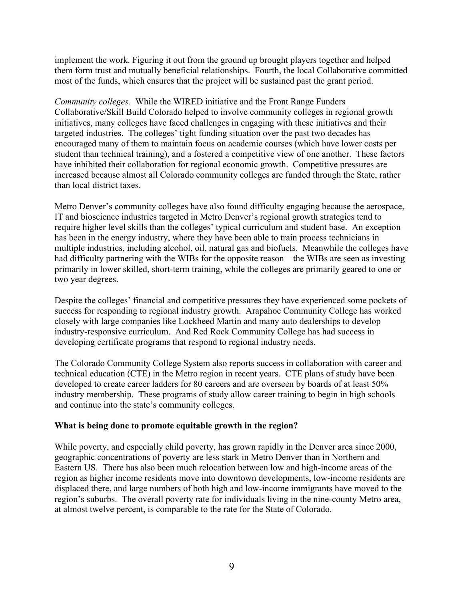implement the work. Figuring it out from the ground up brought players together and helped them form trust and mutually beneficial relationships. Fourth, the local Collaborative committed most of the funds, which ensures that the project will be sustained past the grant period.

*Community colleges.* While the WIRED initiative and the Front Range Funders Collaborative/Skill Build Colorado helped to involve community colleges in regional growth initiatives, many colleges have faced challenges in engaging with these initiatives and their targeted industries. The colleges' tight funding situation over the past two decades has encouraged many of them to maintain focus on academic courses (which have lower costs per student than technical training), and a fostered a competitive view of one another. These factors have inhibited their collaboration for regional economic growth. Competitive pressures are increased because almost all Colorado community colleges are funded through the State, rather than local district taxes.

Metro Denver's community colleges have also found difficulty engaging because the aerospace, IT and bioscience industries targeted in Metro Denver's regional growth strategies tend to require higher level skills than the colleges' typical curriculum and student base. An exception has been in the energy industry, where they have been able to train process technicians in multiple industries, including alcohol, oil, natural gas and biofuels. Meanwhile the colleges have had difficulty partnering with the WIBs for the opposite reason – the WIBs are seen as investing primarily in lower skilled, short-term training, while the colleges are primarily geared to one or two year degrees.

Despite the colleges' financial and competitive pressures they have experienced some pockets of success for responding to regional industry growth. Arapahoe Community College has worked closely with large companies like Lockheed Martin and many auto dealerships to develop industry-responsive curriculum. And Red Rock Community College has had success in developing certificate programs that respond to regional industry needs.

The Colorado Community College System also reports success in collaboration with career and technical education (CTE) in the Metro region in recent years. CTE plans of study have been developed to create career ladders for 80 careers and are overseen by boards of at least 50% industry membership. These programs of study allow career training to begin in high schools and continue into the state's community colleges.

## **What is being done to promote equitable growth in the region?**

While poverty, and especially child poverty, has grown rapidly in the Denver area since 2000, geographic concentrations of poverty are less stark in Metro Denver than in Northern and Eastern US. There has also been much relocation between low and high-income areas of the region as higher income residents move into downtown developments, low-income residents are displaced there, and large numbers of both high and low-income immigrants have moved to the region's suburbs. The overall poverty rate for individuals living in the nine-county Metro area, at almost twelve percent, is comparable to the rate for the State of Colorado.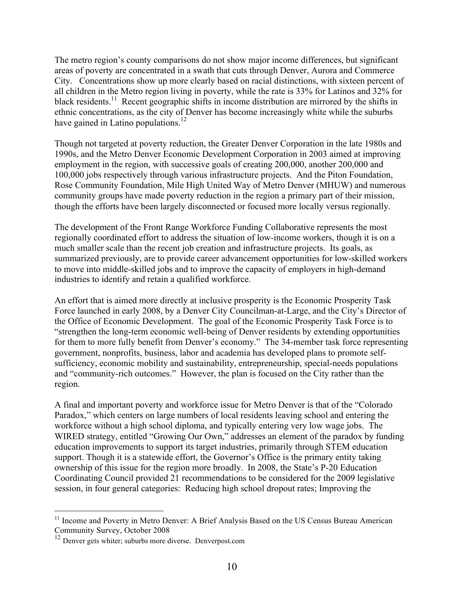The metro region's county comparisons do not show major income differences, but significant areas of poverty are concentrated in a swath that cuts through Denver, Aurora and Commerce City. Concentrations show up more clearly based on racial distinctions, with sixteen percent of all children in the Metro region living in poverty, while the rate is 33% for Latinos and 32% for black residents.<sup>11</sup> Recent geographic shifts in income distribution are mirrored by the shifts in ethnic concentrations, as the city of Denver has become increasingly white while the suburbs have gained in Latino populations. $12$ 

Though not targeted at poverty reduction, the Greater Denver Corporation in the late 1980s and 1990s, and the Metro Denver Economic Development Corporation in 2003 aimed at improving employment in the region, with successive goals of creating 200,000, another 200,000 and 100,000 jobs respectively through various infrastructure projects. And the Piton Foundation, Rose Community Foundation, Mile High United Way of Metro Denver (MHUW) and numerous community groups have made poverty reduction in the region a primary part of their mission, though the efforts have been largely disconnected or focused more locally versus regionally.

The development of the Front Range Workforce Funding Collaborative represents the most regionally coordinated effort to address the situation of low-income workers, though it is on a much smaller scale than the recent job creation and infrastructure projects. Its goals, as summarized previously, are to provide career advancement opportunities for low-skilled workers to move into middle-skilled jobs and to improve the capacity of employers in high-demand industries to identify and retain a qualified workforce.

An effort that is aimed more directly at inclusive prosperity is the Economic Prosperity Task Force launched in early 2008, by a Denver City Councilman-at-Large, and the City's Director of the Office of Economic Development. The goal of the Economic Prosperity Task Force is to "strengthen the long-term economic well-being of Denver residents by extending opportunities for them to more fully benefit from Denver's economy." The 34-member task force representing government, nonprofits, business, labor and academia has developed plans to promote selfsufficiency, economic mobility and sustainability, entrepreneurship, special-needs populations and "community-rich outcomes." However, the plan is focused on the City rather than the region.

A final and important poverty and workforce issue for Metro Denver is that of the "Colorado Paradox," which centers on large numbers of local residents leaving school and entering the workforce without a high school diploma, and typically entering very low wage jobs. The WIRED strategy, entitled "Growing Our Own," addresses an element of the paradox by funding education improvements to support its target industries, primarily through STEM education support. Though it is a statewide effort, the Governor's Office is the primary entity taking ownership of this issue for the region more broadly. In 2008, the State's P-20 Education Coordinating Council provided 21 recommendations to be considered for the 2009 legislative session, in four general categories: Reducing high school dropout rates; Improving the

 $11$  Income and Poverty in Metro Denver: A Brief Analysis Based on the US Census Bureau American Community Survey, October 2008

<sup>&</sup>lt;sup>12</sup> Denver gets whiter; suburbs more diverse. Denverpost.com